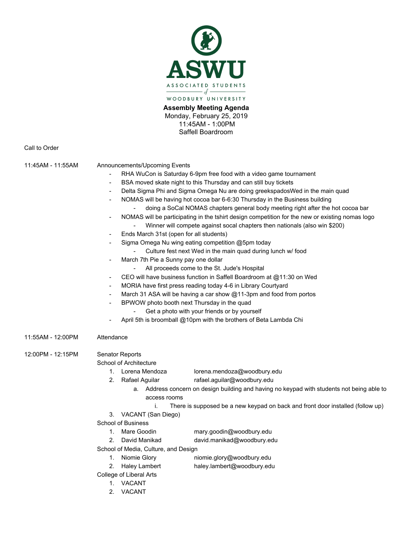

**Assembly Meeting Agenda** Monday, February 25, 2019 11:45AM - 1:00PM Saffell Boardroom

Call to Order

- 11:45AM 11:55AM Announcements/Upcoming Events
	- RHA WuCon is Saturday 6-9pm free food with a video game tournament
	- BSA moved skate night to this Thursday and can still buy tickets
	- Delta Sigma Phi and Sigma Omega Nu are doing greekspadosWed in the main quad
		- NOMAS will be having hot cocoa bar 6-6:30 Thursday in the Business building
			- doing a SoCal NOMAS chapters general body meeting right after the hot cocoa bar
	- NOMAS will be participating in the tshirt design competition for the new or existing nomas logo
		- Winner will compete against socal chapters then nationals (also win \$200)
	- Ends March 31st (open for all students)
	- Sigma Omega Nu wing eating competition @5pm today
		- Culture fest next Wed in the main quad during lunch w/ food
	- March 7th Pie a Sunny pay one dollar
		- All proceeds come to the St. Jude's Hospital
	- CEO will have business function in Saffell Boardroom at @11:30 on Wed
	- MORIA have first press reading today 4-6 in Library Courtyard
	- March 31 ASA will be having a car show  $@11$ -3pm and food from portos
	- BPWOW photo booth next Thursday in the quad
		- Get a photo with your friends or by yourself
	- April 5th is broomball @10pm with the brothers of Beta Lambda Chi
- 11:55AM 12:00PM Attendance

12:00PM - 12:15PM Senator Reports

School of Architecture

- 1. Lorena Mendoza lorena.mendoza@woodbury.edu
- 2. Rafael Aguilar rafael.aguilar@woodbury.edu
	- a. Address concern on design building and having no keypad with students not being able to access rooms
		- i. There is supposed be a new keypad on back and front door installed (follow up)
- 3. VACANT (San Diego)

School of Business

- 1. Mare Goodin mary.goodin@woodbury.edu
- 2. David Manikad david.manikad@woodbury.edu
- School of Media, Culture, and Design
	- 1. Niomie Glory niomie.glory@woodbury.edu
	- 2. Haley Lambert haley.lambert@woodbury.edu
- College of Liberal Arts
	- 1. VACANT
	- 2. VACANT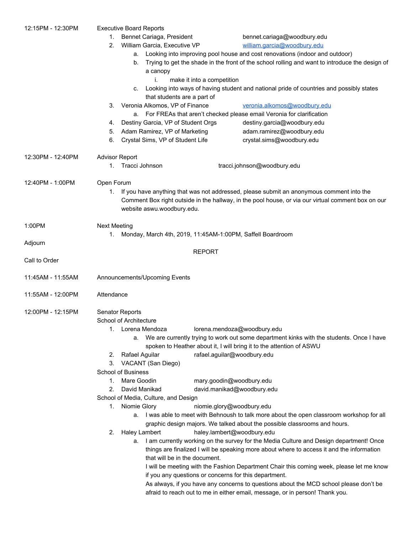| 12:15PM - 12:30PM | <b>Executive Board Reports</b>                                                                                                                                      |                                    |                             |                                                                             |                                                                                       |  |
|-------------------|---------------------------------------------------------------------------------------------------------------------------------------------------------------------|------------------------------------|-----------------------------|-----------------------------------------------------------------------------|---------------------------------------------------------------------------------------|--|
|                   | Bennet Cariaga, President<br>1.                                                                                                                                     |                                    |                             | bennet.cariaga@woodbury.edu                                                 |                                                                                       |  |
|                   | 2.                                                                                                                                                                  | William Garcia, Executive VP       |                             | william.garcia@woodbury.edu                                                 |                                                                                       |  |
|                   |                                                                                                                                                                     | а.                                 |                             | Looking into improving pool house and cost renovations (indoor and outdoor) |                                                                                       |  |
|                   | Trying to get the shade in the front of the school rolling and want to introduce the design of<br>b.<br>a canopy                                                    |                                    |                             |                                                                             |                                                                                       |  |
|                   |                                                                                                                                                                     | i.                                 | make it into a competition  |                                                                             |                                                                                       |  |
|                   | Looking into ways of having student and national pride of countries and possibly states<br>C.                                                                       |                                    |                             |                                                                             |                                                                                       |  |
|                   | that students are a part of                                                                                                                                         |                                    |                             |                                                                             |                                                                                       |  |
|                   |                                                                                                                                                                     | 3. Veronia Alkomos, VP of Finance  |                             | veronia.alkomos@woodbury.edu                                                |                                                                                       |  |
|                   |                                                                                                                                                                     | а.                                 |                             | For FREAs that aren't checked please email Veronia for clarification        |                                                                                       |  |
|                   | 4.                                                                                                                                                                  | Destiny Garcia, VP of Student Orgs |                             | destiny.garcia@woodbury.edu                                                 |                                                                                       |  |
|                   | 5.                                                                                                                                                                  | Adam Ramirez, VP of Marketing      |                             | adam.ramirez@woodbury.edu                                                   |                                                                                       |  |
|                   | 6.                                                                                                                                                                  | Crystal Sims, VP of Student Life   |                             | crystal.sims@woodbury.edu                                                   |                                                                                       |  |
| 12:30PM - 12:40PM | <b>Advisor Report</b>                                                                                                                                               |                                    |                             |                                                                             |                                                                                       |  |
|                   |                                                                                                                                                                     | 1. Tracci Johnson                  |                             | tracci.johnson@woodbury.edu                                                 |                                                                                       |  |
| 12:40PM - 1:00PM  | Open Forum                                                                                                                                                          |                                    |                             |                                                                             |                                                                                       |  |
|                   | If you have anything that was not addressed, please submit an anonymous comment into the<br>1.                                                                      |                                    |                             |                                                                             |                                                                                       |  |
|                   | Comment Box right outside in the hallway, in the pool house, or via our virtual comment box on our<br>website aswu.woodbury.edu.                                    |                                    |                             |                                                                             |                                                                                       |  |
| 1:00PM            | <b>Next Meeting</b>                                                                                                                                                 |                                    |                             |                                                                             |                                                                                       |  |
|                   | Monday, March 4th, 2019, 11:45AM-1:00PM, Saffell Boardroom<br>1.                                                                                                    |                                    |                             |                                                                             |                                                                                       |  |
| Adjourn           |                                                                                                                                                                     |                                    |                             |                                                                             |                                                                                       |  |
|                   |                                                                                                                                                                     |                                    | <b>REPORT</b>               |                                                                             |                                                                                       |  |
| Call to Order     |                                                                                                                                                                     |                                    |                             |                                                                             |                                                                                       |  |
| 11:45AM - 11:55AM | Announcements/Upcoming Events                                                                                                                                       |                                    |                             |                                                                             |                                                                                       |  |
| 11:55AM - 12:00PM | Attendance                                                                                                                                                          |                                    |                             |                                                                             |                                                                                       |  |
| 12:00PM - 12:15PM | Senator Reports                                                                                                                                                     |                                    |                             |                                                                             |                                                                                       |  |
|                   |                                                                                                                                                                     | School of Architecture             |                             |                                                                             |                                                                                       |  |
|                   |                                                                                                                                                                     | 1. Lorena Mendoza                  |                             | lorena.mendoza@woodbury.edu                                                 |                                                                                       |  |
|                   | a. We are currently trying to work out some department kinks with the students. Once I have<br>spoken to Heather about it, I will bring it to the attention of ASWU |                                    |                             |                                                                             |                                                                                       |  |
|                   | 2.                                                                                                                                                                  | Rafael Aguilar                     | rafael.aguilar@woodbury.edu |                                                                             |                                                                                       |  |
|                   | 3.                                                                                                                                                                  | VACANT (San Diego)                 |                             |                                                                             |                                                                                       |  |
|                   |                                                                                                                                                                     | <b>School of Business</b>          |                             |                                                                             |                                                                                       |  |
|                   | 1.                                                                                                                                                                  | Mare Goodin                        | mary.goodin@woodbury.edu    |                                                                             |                                                                                       |  |
|                   | 2.                                                                                                                                                                  | David Manikad                      | david.manikad@woodbury.edu  |                                                                             |                                                                                       |  |
|                   | School of Media, Culture, and Design                                                                                                                                |                                    |                             |                                                                             |                                                                                       |  |
|                   | Niomie Glory<br>niomie.glory@woodbury.edu<br>1.                                                                                                                     |                                    |                             |                                                                             |                                                                                       |  |
|                   | a. I was able to meet with Behnoush to talk more about the open classroom workshop for all                                                                          |                                    |                             |                                                                             |                                                                                       |  |
|                   |                                                                                                                                                                     |                                    |                             | graphic design majors. We talked about the possible classrooms and hours.   |                                                                                       |  |
|                   | 2.                                                                                                                                                                  | Haley Lambert                      | haley.lambert@woodbury.edu  |                                                                             |                                                                                       |  |
|                   | I am currently working on the survey for the Media Culture and Design department! Once<br>a.                                                                        |                                    |                             |                                                                             |                                                                                       |  |
|                   | things are finalized I will be speaking more about where to access it and the information<br>that will be in the document.                                          |                                    |                             |                                                                             |                                                                                       |  |
|                   |                                                                                                                                                                     |                                    |                             |                                                                             |                                                                                       |  |
|                   |                                                                                                                                                                     |                                    |                             |                                                                             | As always, if you have any concerns to questions about the MCD school please don't be |  |
|                   |                                                                                                                                                                     |                                    |                             |                                                                             | afraid to reach out to me in either email, message, or in person! Thank you.          |  |
|                   |                                                                                                                                                                     |                                    |                             |                                                                             |                                                                                       |  |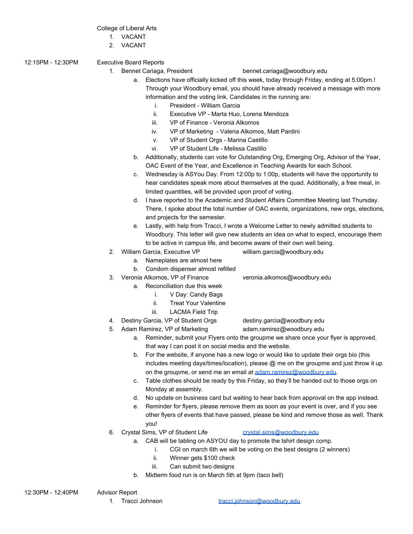## College of Liberal Arts

- 1. VACANT
- 2. VACANT
- 12:15PM 12:30PM Executive Board Reports
	-

1. Bennet Cariaga, President bennet.cariaga@woodbury.edu

- a. Elections have officially kicked off this week, today through Friday, ending at 5:00pm.! Through your Woodbury email, you should have already received a message with more information and the voting link. Candidates in the running are:
	- i. President William Garcia
	- ii. Executive VP Marta Huo, Lorena Mendoza
	- iii. VP of Finance Veronia Alkomos
	- iv. VP of Marketing Valeria Alkomos, Matt Pardini
	- v. VP of Student Orgs Marina Castillo
	- vi. VP of Student Life Melissa Castillo
- b. Additionally, students can vote for Outstanding Org, Emerging Org, Advisor of the Year, OAC Event of the Year, and Excellence in Teaching Awards for each School.
- c. Wednesday is ASYou Day. From 12:00p to 1:00p, students will have the opportunity to hear candidates speak more about themselves at the quad. Additionally, a free meal, in limited quantities, will be provided upon proof of voting.
- d. I have reported to the Academic and Student Affairs Committee Meeting last Thursday. There, I spoke about the total number of OAC events, organizations, new orgs, elections, and projects for the semester.
- e. Lastly, with help from Tracci, I wrote a Welcome Letter to newly admitted students to Woodbury. This letter will give new students an idea on what to expect, encourage them to be active in campus life, and become aware of their own well being.
- 2. William Garcia, Executive VP william.garcia@woodbury.edu
	- a. Nameplates are almost here
	- b. Condom dispenser almost refilled
- 3. Veronia Alkomos, VP of Finance veronia.alkomos@woodbury.edu
	- - a. Reconciliation due this week
			- i. V Day: Candy Bags
			- ii. Treat Your Valentine
			- iii. LACMA Field Trip
- 4. Destiny Garcia, VP of Student Orgs destiny.garcia@woodbury.edu
- 5. Adam Ramirez, VP of Marketing adam.ramirez@woodbury.edu
- - a. Reminder, submit your Flyers onto the groupme we share once your flyer is approved, that way I can post it on social media and the website.
	- b. For the website, if anyone has a new logo or would like to update their orgs bio (this includes meeting days/times/location), please  $@$  me on the groupme and just throw it up on the groupme, or send me an email at [adam.ramirez@woodbury.edu.](mailto:adam.ramirez@woodbury.edu)
	- c. Table clothes should be ready by this Friday, so they'll be handed out to those orgs on Monday at assembly.
	- d. No update on business card but waiting to hear back from approval on the app instead.
	- e. Reminder for flyers, please remove them as soon as your event is over, and if you see other flyers of events that have passed, please be kind and remove those as well. Thank you!
- 6. Crystal Sims, VP of Student Life [crystal.sims@woodbury.edu](mailto:crystal.sims@woodbury.edu)
	- a. CAB will be tabling on ASYOU day to promote the tshirt design comp.
		- - i. CGI on march 6th we will be voting on the best designs (2 winners)
		- ii. Winner gets \$100 check
		- iii. Can submit two designs
	- b. Midterm food run is on March 5th at 9pm (taco bell)

- -
- 
-